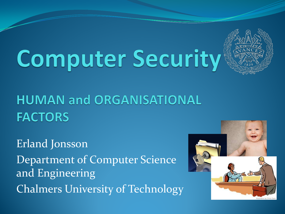# **Computer Security**



**HUMAN and ORGANISATIONAL FACTORS** 

Erland Jonsson Department of Computer Science and Engineering Chalmers University of Technology

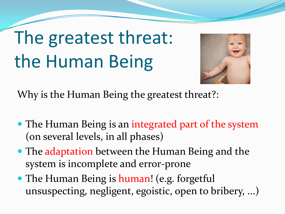## The greatest threat: the Human Being



Why is the Human Being the greatest threat?:

- The Human Being is an integrated part of the system (on several levels, in all phases)
- The adaptation between the Human Being and the system is incomplete and error-prone
- The Human Being is human! (e.g. forgetful unsuspecting, negligent, egoistic, open to bribery, ...)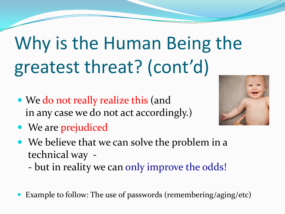## Why is the Human Being the greatest threat? (cont'd)

- We do not really realize this (and in any case we do not act accordingly.)
- We are prejudiced



- We believe that we can solve the problem in a technical way -
	- but in reality we can only improve the odds!
- Example to follow: The use of passwords (remembering/aging/etc)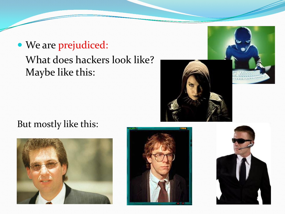#### We are prejudiced: What does hackers look like? Maybe like this:



#### But mostly like this:





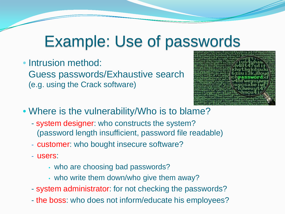#### Example: Use of passwords

• Intrusion method: Guess passwords/Exhaustive search (e.g. using the Crack software)



• Where is the vulnerability/Who is to blame?

- system designer: who constructs the system? (password length insufficient, password file readable)
- customer: who bought insecure software?
- users:
	- who are choosing bad passwords?
	- who write them down/who give them away?
- system administrator: for not checking the passwords?
- the boss: who does not inform/educate his employees?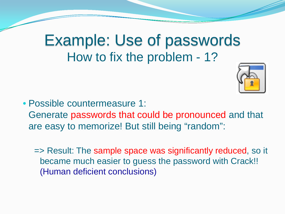#### Example: Use of passwords How to fix the problem - 1?



• Possible countermeasure 1: Generate passwords that could be pronounced and that are easy to memorize! But still being "random":

=> Result: The sample space was significantly reduced, so it became much easier to guess the password with Crack!! (Human deficient conclusions)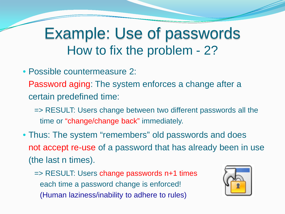#### Example: Use of passwords How to fix the problem - 2?

- Possible countermeasure 2:
	- Password aging: The system enforces a change after a certain predefined time:
		- => RESULT: Users change between two different passwords all the time or "change/change back" immediately.
- Thus: The system "remembers" old passwords and does not accept re-use of a password that has already been in use (the last n times).
	- => RESULT: Users change passwords n+1 times each time a password change is enforced! (Human laziness/inability to adhere to rules)

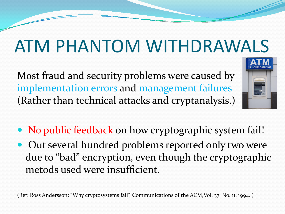Most fraud and security problems were caused by implementation errors and management failures (Rather than technical attacks and cryptanalysis.)



- No public feedback on how cryptographic system fail!
- Out several hundred problems reported only two were due to "bad" encryption, even though the cryptographic metods used were insufficient.

(Ref: Ross Andersson: "Why cryptosystems fail", Communications of the ACM,Vol. 37, No. 11, 1994. )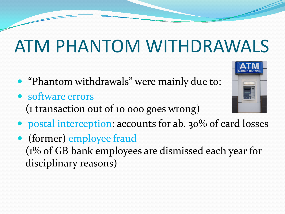- "Phantom withdrawals" were mainly due to:
- software errors (1 transaction out of 10 000 goes wrong)



 (former) employee fraud (1% of GB bank employees are dismissed each year for disciplinary reasons)

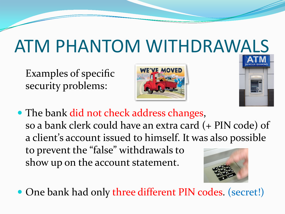Examples of specific security problems:





• The bank did not check address changes, so a bank clerk could have an extra card (+ PIN code) of a client's account issued to himself. It was also possible to prevent the "false" withdrawals to show up on the account statement.

One bank had only three different PIN codes. (secret!)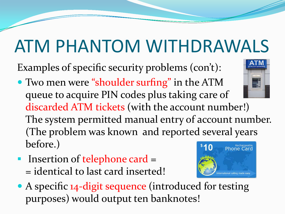Examples of specific security problems (con't):

- Two men were "shoulder surfing" in the ATM queue to acquire PIN codes plus taking care of discarded ATM tickets (with the account number!) The system permitted manual entry of account number. (The problem was known and reported several years before.) Rechargeat<br>Dhone Car
- **Insertion of telephone card =** = identical to last card inserted!



• A specific 14-digit sequence (introduced for testing purposes) would output ten banknotes!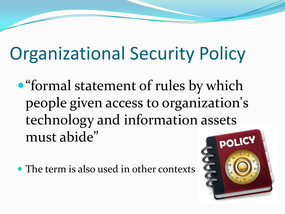#### Organizational Security Policy

"formal statement of rules by which people given access to organization's technology and information assets must abide"

• The term is also used in other contexts

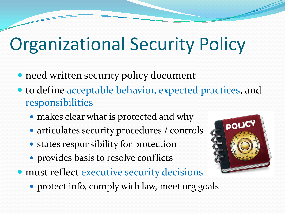#### Organizational Security Policy

- need written security policy document
- to define acceptable behavior, expected practices, and responsibilities
	- makes clear what is protected and why
	- articulates security procedures / controls
	- states responsibility for protection
	- provides basis to resolve conflicts
- must reflect executive security decisions
	- protect info, comply with law, meet org goals

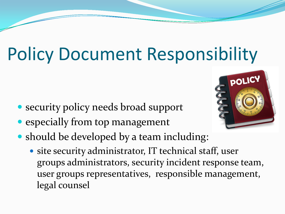#### Policy Document Responsibility

- security policy needs broad support
- especially from top management
- should be developed by a team including:
	- site security administrator, IT technical staff, user groups administrators, security incident response team, user groups representatives, responsible management, legal counsel

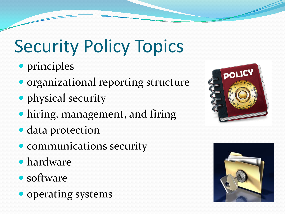#### Security Policy Topics

- principles
- organizational reporting structure
- physical security
- hiring, management, and firing
- data protection
- communications security
- hardware
- software
- operating systems



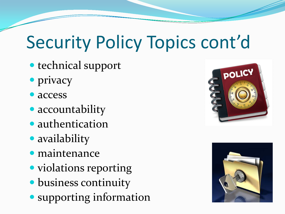#### Security Policy Topics cont'd

- technical support
- privacy
- access
- accountability
- authentication
- availability
- maintenance
- violations reporting
- business continuity
- **Supporting information**



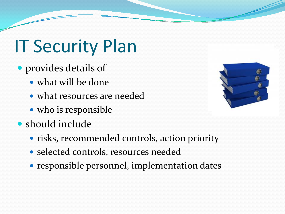#### IT Security Plan

- provides details of
	- what will be done
	- what resources are needed
	- who is responsible
- should include
	- risks, recommended controls, action priority
	- selected controls, resources needed
	- responsible personnel, implementation dates

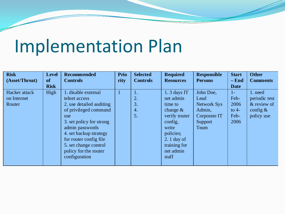#### Implementation Plan

| <b>Risk</b><br>(Asset/Threat) | <b>Level</b><br>of | <b>Recommended</b><br><b>Controls</b> | Prio<br>rity | <b>Selected</b><br><b>Controls</b> | <b>Required</b><br><b>Resources</b> | <b>Responsible</b><br><b>Persons</b> | <b>Start</b><br>$-$ End | <b>Other</b><br><b>Comments</b> |
|-------------------------------|--------------------|---------------------------------------|--------------|------------------------------------|-------------------------------------|--------------------------------------|-------------------------|---------------------------------|
|                               | <b>Risk</b>        |                                       |              |                                    |                                     |                                      | <b>Date</b>             |                                 |
| Hacker attack                 | High               | 1. disable external                   | $\mathbf{1}$ |                                    | $1.3$ days IT                       | John Doe,                            | $1-$                    | 1. need                         |
| on Internet                   |                    | telnet access                         |              | 2.                                 | net admin                           | Lead                                 | Feb-                    | periodic test                   |
| Router                        |                    | 2. use detailed auditing              |              | 3.                                 | time to                             | <b>Network Sys</b>                   | 2006                    | & review of                     |
|                               |                    | of privileged command                 |              | 4.                                 | change $\&$                         | Admin,                               | to $4-$                 | config $\&$                     |
|                               |                    | use                                   |              | 5.                                 | verify router                       | Corporate IT                         | Feb-                    | policy use                      |
|                               |                    | 3. set policy for strong              |              |                                    | config,                             | Support                              | 2006                    |                                 |
|                               |                    | admin passwords                       |              |                                    | write                               | Team                                 |                         |                                 |
|                               |                    | 4. set backup strategy                |              |                                    | policies;                           |                                      |                         |                                 |
|                               |                    | for router config file                |              |                                    | $2.1$ day of                        |                                      |                         |                                 |
|                               |                    | 5. set change control                 |              |                                    | training for                        |                                      |                         |                                 |
|                               |                    | policy for the router                 |              |                                    | net admin                           |                                      |                         |                                 |
|                               |                    | configuration                         |              |                                    | staff                               |                                      |                         |                                 |
|                               |                    |                                       |              |                                    |                                     |                                      |                         |                                 |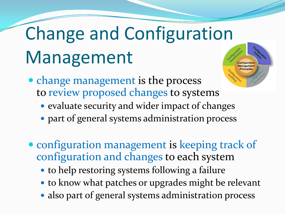## Change and Configuration Management

- change management is the process to review proposed changes to systems
	- evaluate security and wider impact of changes
	- part of general systems administration process
- configuration management is keeping track of configuration and changes to each system
	- to help restoring systems following a failure
	- to know what patches or upgrades might be relevant
	- also part of general systems administration process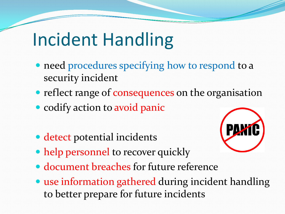#### Incident Handling

- need procedures specifying how to respond to a security incident
- reflect range of consequences on the organisation
- codify action to avoid panic
- detect potential incidents
- help personnel to recover quickly



- document breaches for future reference
- use information gathered during incident handling to better prepare for future incidents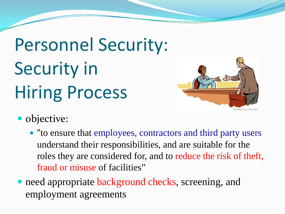## Personnel Security: Security in Hiring Process



- objective:
	- "to ensure that employees, contractors and third party users understand their responsibilities, and are suitable for the roles they are considered for, and to reduce the risk of theft, fraud or misuse of facilities"
- need appropriate background checks, screening, and employment agreements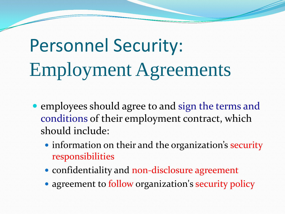## Personnel Security: Employment Agreements

- employees should agree to and sign the terms and conditions of their employment contract, which should include:
	- information on their and the organization's security responsibilities
	- confidentiality and non-disclosure agreement
	- agreement to follow organization's security policy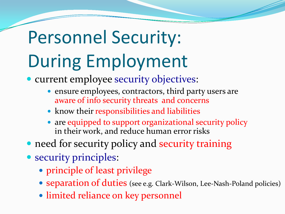## Personnel Security: During Employment

• current employee security objectives:

- ensure employees, contractors, third party users are aware of info security threats and concerns
- know their responsibilities and liabilities
- are equipped to support organizational security policy in their work, and reduce human error risks
- need for security policy and security training
- security principles:
	- principle of least privilege
	- separation of duties (see e.g. Clark-Wilson, Lee-Nash-Poland policies)
	- limited reliance on key personnel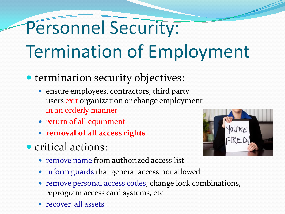## Personnel Security: Termination of Employment

- termination security objectives:
	- ensure employees, contractors, third party users exit organization or change employment in an orderly manner
	- return of all equipment
	- **removal of all access rights**
- **•** critical actions:
	- remove name from authorized access list
	- inform guards that general access not allowed
	- remove personal access codes, change lock combinations, reprogram access card systems, etc
	- recover all assets